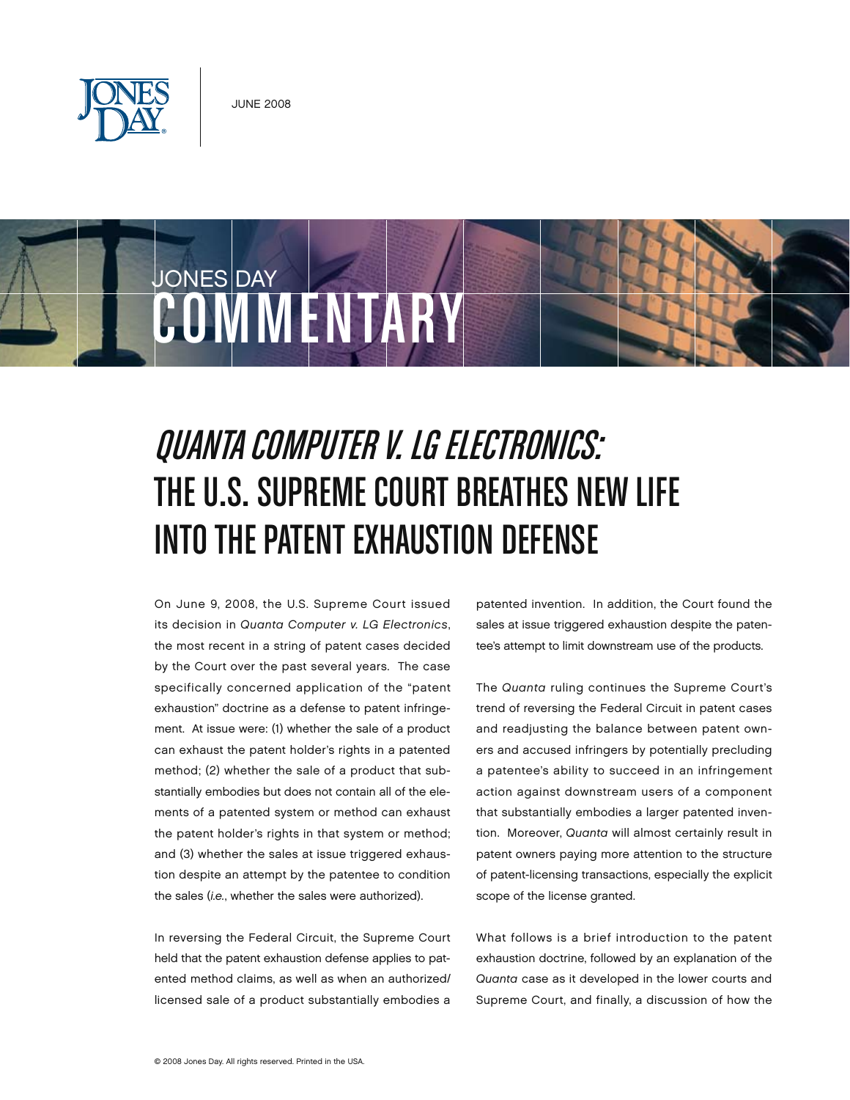



# Quanta Computer v. LG Electronics: THE U.S. SUPREME COURT BREATHES NEW LIFE INTO THE PATENT EXHAUSTION DEFENSE

On June 9, 2008, the U.S. Supreme Court issued its decision in *Quanta Computer v. LG Electronics*, the most recent in a string of patent cases decided by the Court over the past several years. The case specifically concerned application of the "patent exhaustion" doctrine as a defense to patent infringement. At issue were: (1) whether the sale of a product can exhaust the patent holder's rights in a patented method; (2) whether the sale of a product that substantially embodies but does not contain all of the elements of a patented system or method can exhaust the patent holder's rights in that system or method; and (3) whether the sales at issue triggered exhaustion despite an attempt by the patentee to condition the sales (*i.e.*, whether the sales were authorized).

In reversing the Federal Circuit, the Supreme Court held that the patent exhaustion defense applies to patented method claims, as well as when an authorized/ licensed sale of a product substantially embodies a patented invention. In addition, the Court found the sales at issue triggered exhaustion despite the patentee's attempt to limit downstream use of the products.

The *Quanta* ruling continues the Supreme Court's trend of reversing the Federal Circuit in patent cases and readjusting the balance between patent owners and accused infringers by potentially precluding a patentee's ability to succeed in an infringement action against downstream users of a component that substantially embodies a larger patented invention. Moreover, *Quanta* will almost certainly result in patent owners paying more attention to the structure of patent-licensing transactions, especially the explicit scope of the license granted.

What follows is a brief introduction to the patent exhaustion doctrine, followed by an explanation of the *Quanta* case as it developed in the lower courts and Supreme Court, and finally, a discussion of how the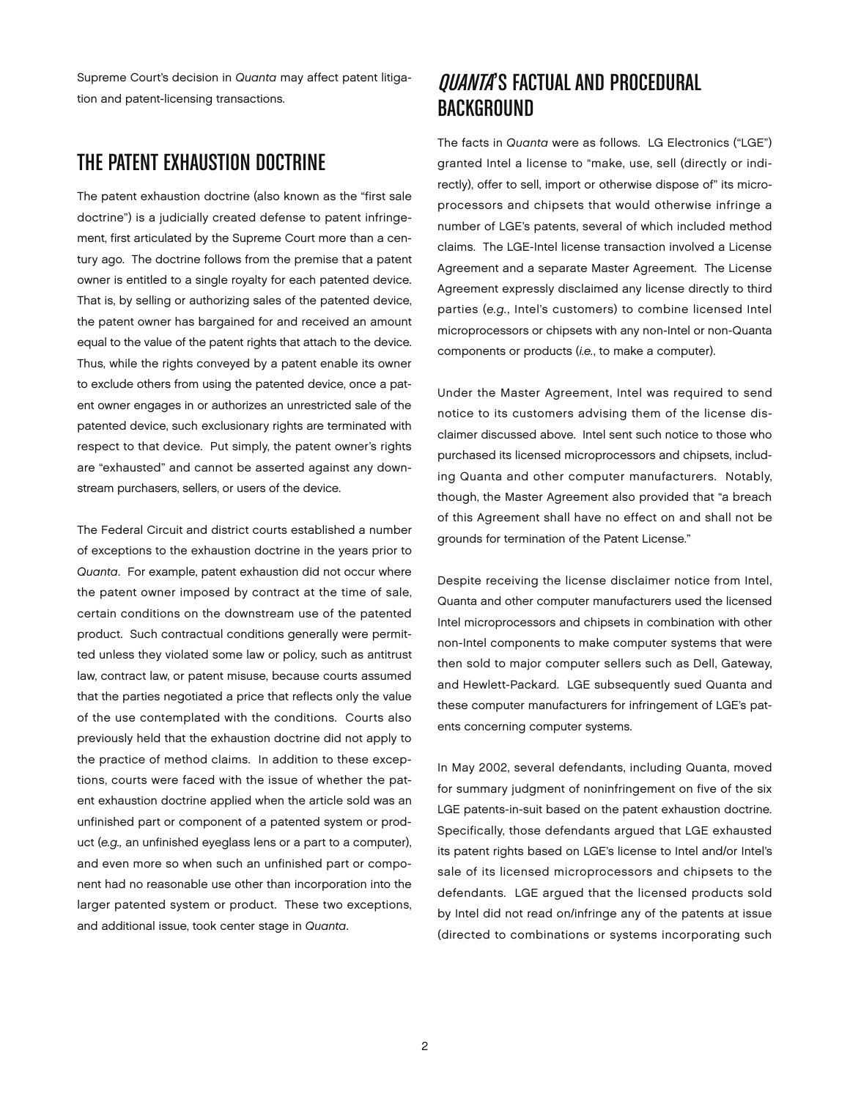Supreme Court's decision in *Quanta* may affect patent litigation and patent-licensing transactions.

## The Patent Exhaustion Doctrine

The patent exhaustion doctrine (also known as the "first sale doctrine") is a judicially created defense to patent infringement, first articulated by the Supreme Court more than a century ago. The doctrine follows from the premise that a patent owner is entitled to a single royalty for each patented device. That is, by selling or authorizing sales of the patented device, the patent owner has bargained for and received an amount equal to the value of the patent rights that attach to the device. Thus, while the rights conveyed by a patent enable its owner to exclude others from using the patented device, once a patent owner engages in or authorizes an unrestricted sale of the patented device, such exclusionary rights are terminated with respect to that device. Put simply, the patent owner's rights are "exhausted" and cannot be asserted against any downstream purchasers, sellers, or users of the device.

The Federal Circuit and district courts established a number of exceptions to the exhaustion doctrine in the years prior to *Quanta*. For example, patent exhaustion did not occur where the patent owner imposed by contract at the time of sale, certain conditions on the downstream use of the patented product. Such contractual conditions generally were permitted unless they violated some law or policy, such as antitrust law, contract law, or patent misuse, because courts assumed that the parties negotiated a price that reflects only the value of the use contemplated with the conditions. Courts also previously held that the exhaustion doctrine did not apply to the practice of method claims. In addition to these exceptions, courts were faced with the issue of whether the patent exhaustion doctrine applied when the article sold was an unfinished part or component of a patented system or product (*e.g.,* an unfinished eyeglass lens or a part to a computer), and even more so when such an unfinished part or component had no reasonable use other than incorporation into the larger patented system or product. These two exceptions, and additional issue, took center stage in *Quanta*.

# OUANTA'S FACTUAL AND PROCEDURAL **BACKGROUND**

The facts in *Quanta* were as follows. LG Electronics ("LGE") granted Intel a license to "make, use, sell (directly or indirectly), offer to sell, import or otherwise dispose of" its microprocessors and chipsets that would otherwise infringe a number of LGE's patents, several of which included method claims. The LGE-Intel license transaction involved a License Agreement and a separate Master Agreement. The License Agreement expressly disclaimed any license directly to third parties (*e.g.*, Intel's customers) to combine licensed Intel microprocessors or chipsets with any non-Intel or non-Quanta components or products (*i.e.*, to make a computer).

Under the Master Agreement, Intel was required to send notice to its customers advising them of the license disclaimer discussed above. Intel sent such notice to those who purchased its licensed microprocessors and chipsets, including Quanta and other computer manufacturers. Notably, though, the Master Agreement also provided that "a breach of this Agreement shall have no effect on and shall not be grounds for termination of the Patent License."

Despite receiving the license disclaimer notice from Intel, Quanta and other computer manufacturers used the licensed Intel microprocessors and chipsets in combination with other non-Intel components to make computer systems that were then sold to major computer sellers such as Dell, Gateway, and Hewlett-Packard. LGE subsequently sued Quanta and these computer manufacturers for infringement of LGE's patents concerning computer systems.

In May 2002, several defendants, including Quanta, moved for summary judgment of noninfringement on five of the six LGE patents-in-suit based on the patent exhaustion doctrine. Specifically, those defendants argued that LGE exhausted its patent rights based on LGE's license to Intel and/or Intel's sale of its licensed microprocessors and chipsets to the defendants. LGE argued that the licensed products sold by Intel did not read on/infringe any of the patents at issue (directed to combinations or systems incorporating such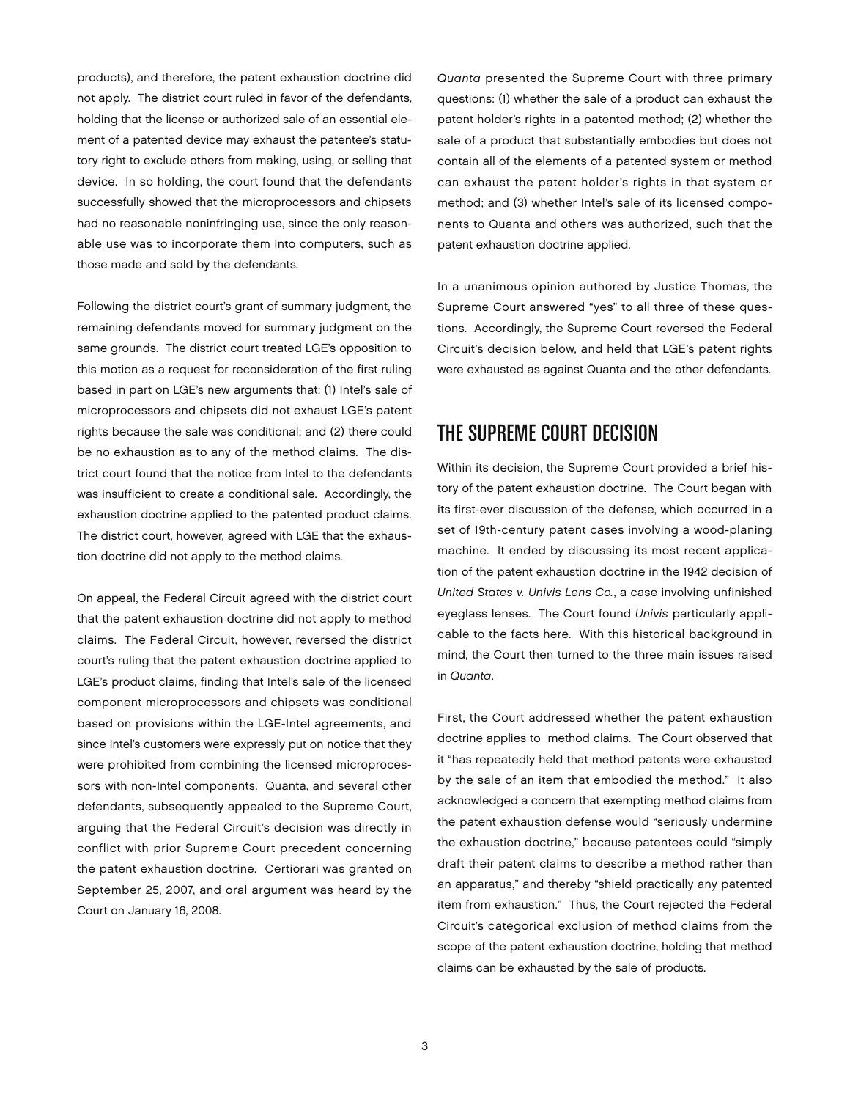products), and therefore, the patent exhaustion doctrine did not apply. The district court ruled in favor of the defendants, holding that the license or authorized sale of an essential element of a patented device may exhaust the patentee's statutory right to exclude others from making, using, or selling that device. In so holding, the court found that the defendants successfully showed that the microprocessors and chipsets had no reasonable noninfringing use, since the only reasonable use was to incorporate them into computers, such as those made and sold by the defendants.

Following the district court's grant of summary judgment, the remaining defendants moved for summary judgment on the same grounds. The district court treated LGE's opposition to this motion as a request for reconsideration of the first ruling based in part on LGE's new arguments that: (1) Intel's sale of microprocessors and chipsets did not exhaust LGE's patent rights because the sale was conditional; and (2) there could be no exhaustion as to any of the method claims. The district court found that the notice from Intel to the defendants was insufficient to create a conditional sale. Accordingly, the exhaustion doctrine applied to the patented product claims. The district court, however, agreed with LGE that the exhaustion doctrine did not apply to the method claims.

On appeal, the Federal Circuit agreed with the district court that the patent exhaustion doctrine did not apply to method claims. The Federal Circuit, however, reversed the district court's ruling that the patent exhaustion doctrine applied to LGE's product claims, finding that Intel's sale of the licensed component microprocessors and chipsets was conditional based on provisions within the LGE-Intel agreements, and since Intel's customers were expressly put on notice that they were prohibited from combining the licensed microprocessors with non-Intel components. Quanta, and several other defendants, subsequently appealed to the Supreme Court, arguing that the Federal Circuit's decision was directly in conflict with prior Supreme Court precedent concerning the patent exhaustion doctrine. Certiorari was granted on September 25, 2007, and oral argument was heard by the Court on January 16, 2008.

*Quanta* presented the Supreme Court with three primary questions: (1) whether the sale of a product can exhaust the patent holder's rights in a patented method; (2) whether the sale of a product that substantially embodies but does not contain all of the elements of a patented system or method can exhaust the patent holder's rights in that system or method; and (3) whether Intel's sale of its licensed components to Quanta and others was authorized, such that the patent exhaustion doctrine applied.

In a unanimous opinion authored by Justice Thomas, the Supreme Court answered "yes" to all three of these questions. Accordingly, the Supreme Court reversed the Federal Circuit's decision below, and held that LGE's patent rights were exhausted as against Quanta and the other defendants.

#### The Supreme Court Decision

Within its decision, the Supreme Court provided a brief history of the patent exhaustion doctrine. The Court began with its first-ever discussion of the defense, which occurred in a set of 19th-century patent cases involving a wood-planing machine. It ended by discussing its most recent application of the patent exhaustion doctrine in the 1942 decision of *United States v. Univis Lens Co.*, a case involving unfinished eyeglass lenses. The Court found *Univis* particularly applicable to the facts here. With this historical background in mind, the Court then turned to the three main issues raised in *Quanta*.

First, the Court addressed whether the patent exhaustion doctrine applies to method claims. The Court observed that it "has repeatedly held that method patents were exhausted by the sale of an item that embodied the method." It also acknowledged a concern that exempting method claims from the patent exhaustion defense would "seriously undermine the exhaustion doctrine," because patentees could "simply draft their patent claims to describe a method rather than an apparatus," and thereby "shield practically any patented item from exhaustion." Thus, the Court rejected the Federal Circuit's categorical exclusion of method claims from the scope of the patent exhaustion doctrine, holding that method claims can be exhausted by the sale of products.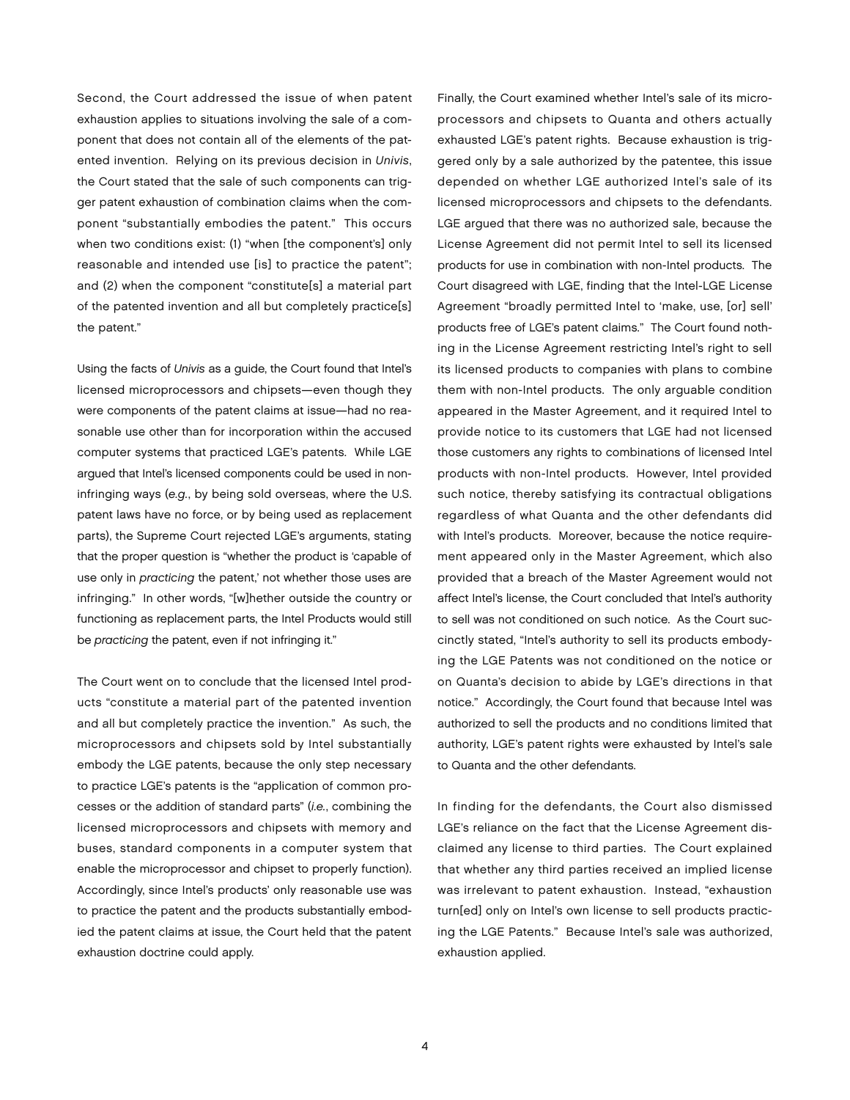Second, the Court addressed the issue of when patent exhaustion applies to situations involving the sale of a component that does not contain all of the elements of the patented invention. Relying on its previous decision in *Univis*, the Court stated that the sale of such components can trigger patent exhaustion of combination claims when the component "substantially embodies the patent." This occurs when two conditions exist: (1) "when [the component's] only reasonable and intended use [is] to practice the patent"; and (2) when the component "constitute[s] a material part of the patented invention and all but completely practice[s] the patent."

Using the facts of *Univis* as a guide, the Court found that Intel's licensed microprocessors and chipsets—even though they were components of the patent claims at issue—had no reasonable use other than for incorporation within the accused computer systems that practiced LGE's patents. While LGE argued that Intel's licensed components could be used in noninfringing ways (*e.g.*, by being sold overseas, where the U.S. patent laws have no force, or by being used as replacement parts), the Supreme Court rejected LGE's arguments, stating that the proper question is "whether the product is 'capable of use only in *practicing* the patent,' not whether those uses are infringing." In other words, "[w]hether outside the country or functioning as replacement parts, the Intel Products would still be *practicing* the patent, even if not infringing it."

The Court went on to conclude that the licensed Intel products "constitute a material part of the patented invention and all but completely practice the invention." As such, the microprocessors and chipsets sold by Intel substantially embody the LGE patents, because the only step necessary to practice LGE's patents is the "application of common processes or the addition of standard parts" (*i.e.*, combining the licensed microprocessors and chipsets with memory and buses, standard components in a computer system that enable the microprocessor and chipset to properly function). Accordingly, since Intel's products' only reasonable use was to practice the patent and the products substantially embodied the patent claims at issue, the Court held that the patent exhaustion doctrine could apply.

Finally, the Court examined whether Intel's sale of its microprocessors and chipsets to Quanta and others actually exhausted LGE's patent rights. Because exhaustion is triggered only by a sale authorized by the patentee, this issue depended on whether LGE authorized Intel's sale of its licensed microprocessors and chipsets to the defendants. LGE argued that there was no authorized sale, because the License Agreement did not permit Intel to sell its licensed products for use in combination with non-Intel products. The Court disagreed with LGE, finding that the Intel-LGE License Agreement "broadly permitted Intel to 'make, use, [or] sell' products free of LGE's patent claims." The Court found nothing in the License Agreement restricting Intel's right to sell its licensed products to companies with plans to combine them with non-Intel products. The only arguable condition appeared in the Master Agreement, and it required Intel to provide notice to its customers that LGE had not licensed those customers any rights to combinations of licensed Intel products with non-Intel products. However, Intel provided such notice, thereby satisfying its contractual obligations regardless of what Quanta and the other defendants did with Intel's products. Moreover, because the notice requirement appeared only in the Master Agreement, which also provided that a breach of the Master Agreement would not affect Intel's license, the Court concluded that Intel's authority to sell was not conditioned on such notice. As the Court succinctly stated, "Intel's authority to sell its products embodying the LGE Patents was not conditioned on the notice or on Quanta's decision to abide by LGE's directions in that notice." Accordingly, the Court found that because Intel was authorized to sell the products and no conditions limited that authority, LGE's patent rights were exhausted by Intel's sale to Quanta and the other defendants.

In finding for the defendants, the Court also dismissed LGE's reliance on the fact that the License Agreement disclaimed any license to third parties. The Court explained that whether any third parties received an implied license was irrelevant to patent exhaustion. Instead, "exhaustion turn[ed] only on Intel's own license to sell products practicing the LGE Patents." Because Intel's sale was authorized, exhaustion applied.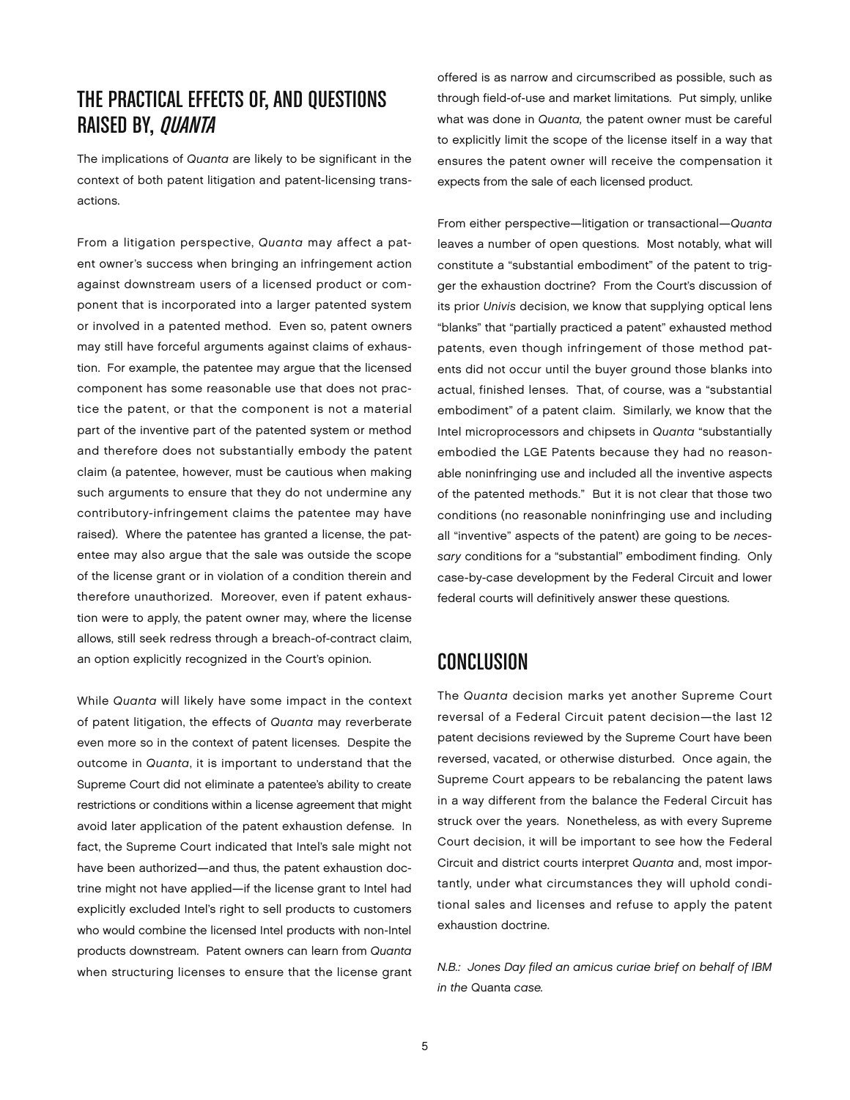## The Practical Effects of, and Questions RAISED BY, *QUANTA*

The implications of *Quanta* are likely to be significant in the context of both patent litigation and patent-licensing transactions.

From a litigation perspective, *Quanta* may affect a patent owner's success when bringing an infringement action against downstream users of a licensed product or component that is incorporated into a larger patented system or involved in a patented method. Even so, patent owners may still have forceful arguments against claims of exhaustion. For example, the patentee may argue that the licensed component has some reasonable use that does not practice the patent, or that the component is not a material part of the inventive part of the patented system or method and therefore does not substantially embody the patent claim (a patentee, however, must be cautious when making such arguments to ensure that they do not undermine any contributory-infringement claims the patentee may have raised). Where the patentee has granted a license, the patentee may also argue that the sale was outside the scope of the license grant or in violation of a condition therein and therefore unauthorized. Moreover, even if patent exhaustion were to apply, the patent owner may, where the license allows, still seek redress through a breach-of-contract claim, an option explicitly recognized in the Court's opinion.

While *Quanta* will likely have some impact in the context of patent litigation, the effects of *Quanta* may reverberate even more so in the context of patent licenses. Despite the outcome in *Quanta*, it is important to understand that the Supreme Court did not eliminate a patentee's ability to create restrictions or conditions within a license agreement that might avoid later application of the patent exhaustion defense. In fact, the Supreme Court indicated that Intel's sale might not have been authorized—and thus, the patent exhaustion doctrine might not have applied—if the license grant to Intel had explicitly excluded Intel's right to sell products to customers who would combine the licensed Intel products with non-Intel products downstream. Patent owners can learn from *Quanta* when structuring licenses to ensure that the license grant

offered is as narrow and circumscribed as possible, such as through field-of-use and market limitations. Put simply, unlike what was done in *Quanta,* the patent owner must be careful to explicitly limit the scope of the license itself in a way that ensures the patent owner will receive the compensation it expects from the sale of each licensed product.

From either perspective—litigation or transactional—*Quanta* leaves a number of open questions. Most notably, what will constitute a "substantial embodiment" of the patent to trigger the exhaustion doctrine? From the Court's discussion of its prior *Univis* decision, we know that supplying optical lens "blanks" that "partially practiced a patent" exhausted method patents, even though infringement of those method patents did not occur until the buyer ground those blanks into actual, finished lenses. That, of course, was a "substantial embodiment" of a patent claim. Similarly, we know that the Intel microprocessors and chipsets in *Quanta* "substantially embodied the LGE Patents because they had no reasonable noninfringing use and included all the inventive aspects of the patented methods." But it is not clear that those two conditions (no reasonable noninfringing use and including all "inventive" aspects of the patent) are going to be *necessary* conditions for a "substantial" embodiment finding. Only case-by-case development by the Federal Circuit and lower federal courts will definitively answer these questions.

## Conclusion

The *Quanta* decision marks yet another Supreme Court reversal of a Federal Circuit patent decision—the last 12 patent decisions reviewed by the Supreme Court have been reversed, vacated, or otherwise disturbed. Once again, the Supreme Court appears to be rebalancing the patent laws in a way different from the balance the Federal Circuit has struck over the years. Nonetheless, as with every Supreme Court decision, it will be important to see how the Federal Circuit and district courts interpret *Quanta* and, most importantly, under what circumstances they will uphold conditional sales and licenses and refuse to apply the patent exhaustion doctrine.

*N.B.: Jones Day filed an amicus curiae brief on behalf of IBM in the* Quanta *case.*